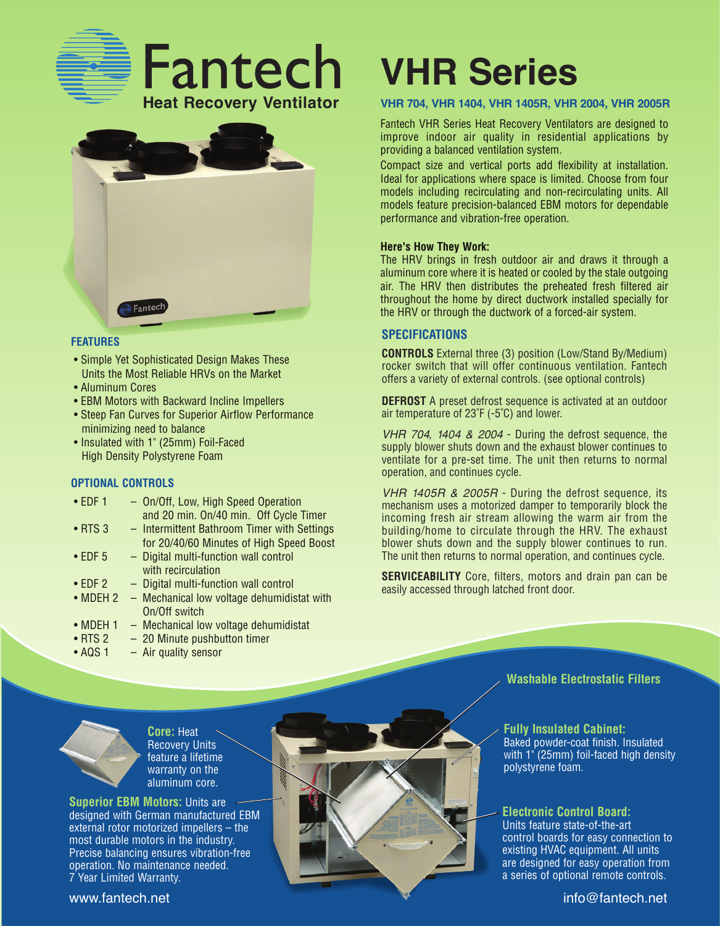



#### **FEATURES**

- Simple Yet Sophisticated Design Makes These Units the Most Reliable HRVs on the Market
- Aluminum Cores
- EBM Motors with Backward Incline Impellers
- Steep Fan Curves for Superior Airflow Performance minimizing need to balance
- Insulated with 1" (25mm) Foil-Faced High Density Polystyrene Foam

#### **OPTIONAL CONTROLS**

| $\cdot$ EDF 1    | - On/Off, Low, High Speed Operation         |
|------------------|---------------------------------------------|
|                  | and 20 min. On/40 min. Off Cycle Timer      |
| $\bullet$ RTS 3  | - Intermittent Bathroom Timer with Settings |
|                  | for 20/40/60 Minutes of High Speed Boost    |
| $\bullet$ EDF 5  | - Digital multi-function wall control       |
|                  | with recirculation                          |
| $\cdot$ EDF 2    | - Digital multi-function wall control       |
| $\bullet$ MDEH 2 | - Mechanical low voltage dehumidistat with  |
|                  | On/Off switch                               |
| $\sim$ MDEL 4    | Mochanical low valtage dehumidiatet         |

- MDEH 1 Mechanical low voltage dehumidistat
- RTS 2 20 Minute pushbutton timer
- AQS 1 Air quality sensor

## **VHR Series**

#### **VHR 704, VHR 1404, VHR 1405R, VHR 2004, VHR 2005R**

Fantech VHR Series Heat Recovery Ventilators are designed to improve indoor air quality in residential applications by providing a balanced ventilation system.

Compact size and vertical ports add flexibility at installation. Ideal for applications where space is limited. Choose from four models including recirculating and non-recirculating units. All models feature precision-balanced EBM motors for dependable performance and vibration-free operation.

#### **Here's How They Work:**

The HRV brings in fresh outdoor air and draws it through a aluminum core where it is heated or cooled by the stale outgoing air. The HRV then distributes the preheated fresh filtered air throughout the home by direct ductwork installed specially for the HRV or through the ductwork of a forced-air system.

#### **SPECIFICATIONS**

**CONTROLS** External three (3) position (Low/Stand By/Medium) rocker switch that will offer continuous ventilation. Fantech offers a variety of external controls. (see optional controls)

**DEFROST** A preset defrost sequence is activated at an outdoor air temperature of 23˚F (-5˚C) and lower.

VHR 704, 1404 & 2004 - During the defrost sequence, the supply blower shuts down and the exhaust blower continues to ventilate for a pre-set time. The unit then returns to normal operation, and continues cycle.

VHR 1405R & 2005R - During the defrost sequence, its mechanism uses a motorized damper to temporarily block the incoming fresh air stream allowing the warm air from the building/home to circulate through the HRV. The exhaust blower shuts down and the supply blower continues to run. The unit then returns to normal operation, and continues cycle.

**SERVICEABILITY** Core, filters, motors and drain pan can be easily accessed through latched front door.



**Core:** Heat Recovery Units feature a lifetime warranty on the aluminum core.

**Superior EBM Motors:** Units are designed with German manufactured EBM external rotor motorized impellers – the most durable motors in the industry. Precise balancing ensures vibration-free operation. No maintenance needed. 7 Year Limited Warranty.

# www.fantech.net info@fantech.net info@fantech.net

**Washable Electrostatic Filters**

#### **Fully Insulated Cabinet:** Baked powder-coat finish. Insulated with 1" (25mm) foil-faced high density polystyrene foam.

#### **Electronic Control Board:**

Units feature state-of-the-art control boards for easy connection to existing HVAC equipment. All units are designed for easy operation from a series of optional remote controls.